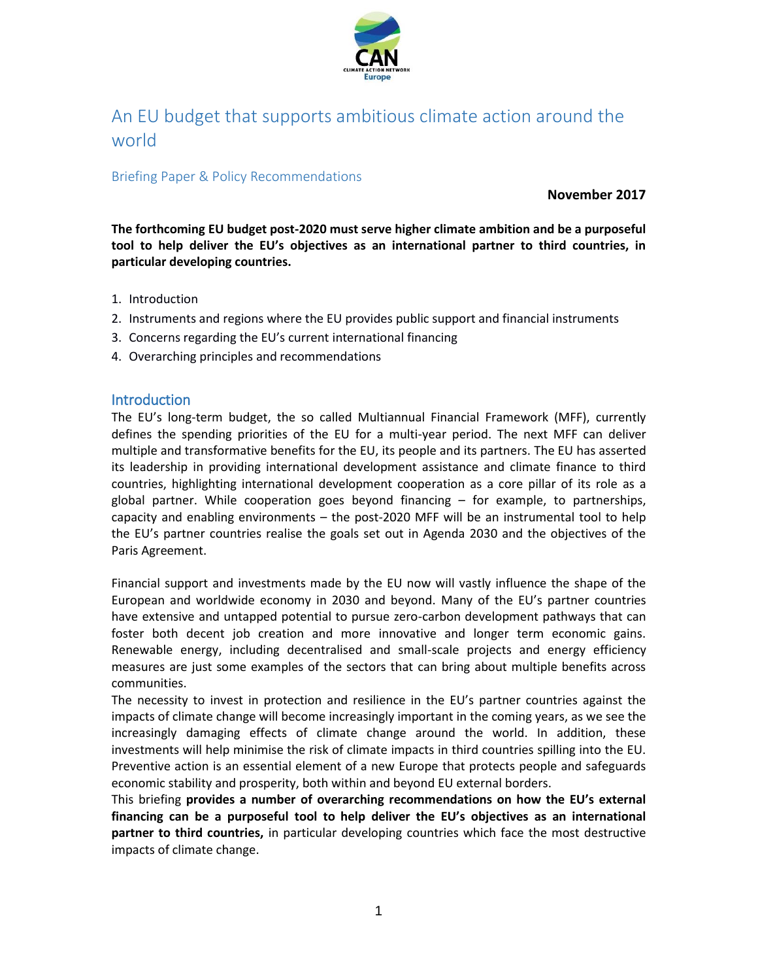

# An EU budget that supports ambitious climate action around the world

### Briefing Paper & Policy Recommendations

**November 2017**

**The forthcoming EU budget post-2020 must serve higher climate ambition and be a purposeful tool to help deliver the EU's objectives as an international partner to third countries, in particular developing countries.**

- 1. Introduction
- 2. Instruments and regions where the EU provides public support and financial instruments
- 3. Concerns regarding the EU's current international financing
- 4. Overarching principles and recommendations

#### **Introduction**

The EU's long-term budget, the so called Multiannual Financial Framework (MFF), currently defines the spending priorities of the EU for a multi-year period. The next MFF can deliver multiple and transformative benefits for the EU, its people and its partners. The EU has asserted its leadership in providing international development assistance and climate finance to third countries, highlighting international development cooperation as a core pillar of its role as a global partner. While cooperation goes beyond financing – for example, to partnerships, capacity and enabling environments – the post-2020 MFF will be an instrumental tool to help the EU's partner countries realise the goals set out in Agenda 2030 and the objectives of the Paris Agreement.

Financial support and investments made by the EU now will vastly influence the shape of the European and worldwide economy in 2030 and beyond. Many of the EU's partner countries have extensive and untapped potential to pursue zero-carbon development pathways that can foster both decent job creation and more innovative and longer term economic gains. Renewable energy, including decentralised and small-scale projects and energy efficiency measures are just some examples of the sectors that can bring about multiple benefits across communities.

The necessity to invest in protection and resilience in the EU's partner countries against the impacts of climate change will become increasingly important in the coming years, as we see the increasingly damaging effects of climate change around the world. In addition, these investments will help minimise the risk of climate impacts in third countries spilling into the EU. Preventive action is an essential element of a new Europe that protects people and safeguards economic stability and prosperity, both within and beyond EU external borders.

This briefing **provides a number of overarching recommendations on how the EU's external financing can be a purposeful tool to help deliver the EU's objectives as an international partner to third countries,** in particular developing countries which face the most destructive impacts of climate change.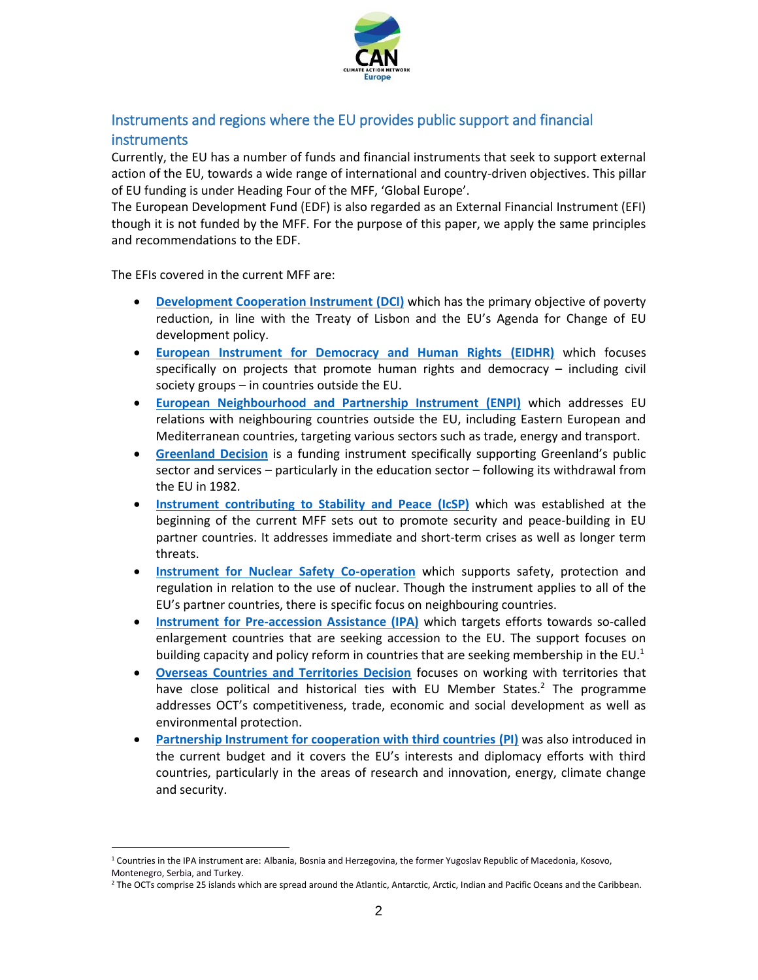

## Instruments and regions where the EU provides public support and financial instruments

Currently, the EU has a number of funds and financial instruments that seek to support external action of the EU, towards a wide range of international and country-driven objectives. This pillar of EU funding is under Heading Four of the MFF, 'Global Europe'.

The European Development Fund (EDF) is also regarded as an External Financial Instrument (EFI) though it is not funded by the MFF. For the purpose of this paper, we apply the same principles and recommendations to the EDF.

The EFIs covered in the current MFF are:

- **[Development Cooperation Instrument](https://ec.europa.eu/europeaid/how/finance/dci_en.htm_en) (DCI)** which has the primary objective of poverty reduction, in line with the Treaty of Lisbon and the EU's Agenda for Change of EU development policy.
- **[European Instrument for Democracy and Human Rights](https://ec.europa.eu/europeaid/how/finance/eidhr_en.htm_en) (EIDHR)** which focuses specifically on projects that promote human rights and democracy – including civil society groups – in countries outside the EU.
- **[European Neighbourhood and Partnership Instrument](https://ec.europa.eu/europeaid/funding/european-neighbourhood-and-partnership-instrument-enpi_en) (ENPI)** which addresses EU relations with neighbouring countries outside the EU, including Eastern European and Mediterranean countries, targeting various sectors such as trade, energy and transport.
- **[Greenland](https://ec.europa.eu/europeaid/countries/greenland_en) Decision** is a funding instrument specifically supporting Greenland's public sector and services – particularly in the education sector – following its withdrawal from the EU in 1982.
- **[Instrument contributing to Stability and Peace](http://ec.europa.eu/dgs/fpi/what-we-do/instrument_contributing_to_stability_and_peace_en.htm) (IcSP)** which was established at the beginning of the current MFF sets out to promote security and peace-building in EU partner countries. It addresses immediate and short-term crises as well as longer term threats.
- **[Instrument for Nuclear Safety Co-operation](https://ec.europa.eu/europeaid/funding/funding-instruments-programming/funding-instruments/instrument-nuclear-safety-cooperation_en)** which supports safety, protection and regulation in relation to the use of nuclear. Though the instrument applies to all of the EU's partner countries, there is specific focus on neighbouring countries.
- **[Instrument for Pre-accession Assistance](https://ec.europa.eu/neighbourhood-enlargement/instruments/overview_en) (IPA)** which targets efforts towards so-called enlargement countries that are seeking accession to the EU. The support focuses on building capacity and policy reform in countries that are seeking membership in the EU.<sup>1</sup>
- **[Overseas Countries and Territories Decision](https://ec.europa.eu/europeaid/regions/overseas-countries-and-territories-octs/oct-eu-relations-detail_en)** focuses on working with territories that have close political and historical ties with EU Member States.<sup>2</sup> The programme addresses OCT's competitiveness, trade, economic and social development as well as environmental protection.
- **[Partnership Instrument for cooperation with third countries \(PI\)](http://ec.europa.eu/dgs/fpi/what-we-do/partnership_instrument_en.htm)** was also introduced in the current budget and it covers the EU's interests and diplomacy efforts with third countries, particularly in the areas of research and innovation, energy, climate change and security.

 $\overline{a}$ 

<sup>1</sup> Countries in the IPA instrument are: [Albania,](https://ec.europa.eu/neighbourhood-enlargement/instruments/funding-by-country/albania_en) [Bosnia and Herzegovina,](https://ec.europa.eu/neighbourhood-enlargement/instruments/funding-by-country/bosnia-herzegovina_en) [the former Yugoslav Republic of Macedonia,](https://ec.europa.eu/neighbourhood-enlargement/instruments/funding-by-country/former-yugoslav-republic-of-macedonia_en) Kosovo,

[Montenegro,](https://ec.europa.eu/neighbourhood-enlargement/instruments/funding-by-country/montenegro_en) [Serbia,](https://ec.europa.eu/neighbourhood-enlargement/instruments/funding-by-country/serbia_en) and [Turkey.](https://ec.europa.eu/neighbourhood-enlargement/instruments/funding-by-country/turkey_en)

<sup>&</sup>lt;sup>2</sup> The OCTs comprise 25 islands which are spread around the Atlantic, Antarctic, Arctic, Indian and Pacific Oceans and the Caribbean.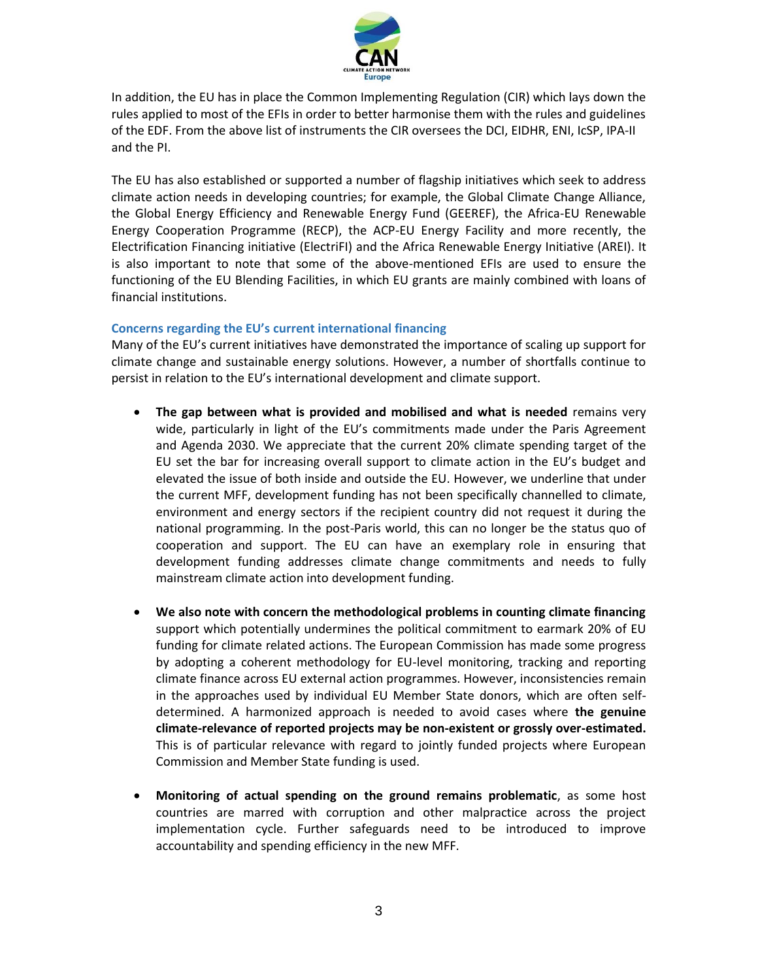

In addition, the EU has in place the Common Implementing Regulation (CIR) which lays down the rules applied to most of the EFIs in order to better harmonise them with the rules and guidelines of the EDF. From the above list of instruments the CIR oversees the DCI, EIDHR, ENI, IcSP, IPA-II and the PI.

The EU has also established or supported a number of flagship initiatives which seek to address climate action needs in developing countries; for example, the Global Climate Change Alliance, the Global Energy Efficiency and Renewable Energy Fund (GEEREF), the Africa-EU Renewable Energy Cooperation Programme (RECP), the ACP-EU Energy Facility and more recently, the Electrification Financing initiative (ElectriFI) and the Africa Renewable Energy Initiative (AREI). It is also important to note that some of the above-mentioned EFIs are used to ensure the functioning of the EU Blending Facilities, in which EU grants are mainly combined with loans of financial institutions.

#### **Concerns regarding the EU's current international financing**

Many of the EU's current initiatives have demonstrated the importance of scaling up support for climate change and sustainable energy solutions. However, a number of shortfalls continue to persist in relation to the EU's international development and climate support.

- **The gap between what is provided and mobilised and what is needed** remains very wide, particularly in light of the EU's commitments made under the Paris Agreement and Agenda 2030. We appreciate that the current 20% climate spending target of the EU set the bar for increasing overall support to climate action in the EU's budget and elevated the issue of both inside and outside the EU. However, we underline that under the current MFF, development funding has not been specifically channelled to climate, environment and energy sectors if the recipient country did not request it during the national programming. In the post-Paris world, this can no longer be the status quo of cooperation and support. The EU can have an exemplary role in ensuring that development funding addresses climate change commitments and needs to fully mainstream climate action into development funding.
- **We also note with concern the methodological problems in counting climate financing**  support which potentially undermines the political commitment to earmark 20% of EU funding for climate related actions. The European Commission has made some progress by adopting a coherent methodology for EU-level monitoring, tracking and reporting climate finance across EU external action programmes. However, inconsistencies remain in the approaches used by individual EU Member State donors, which are often selfdetermined. A harmonized approach is needed to avoid cases where **the genuine climate-relevance of reported projects may be non-existent or grossly over-estimated.**  This is of particular relevance with regard to jointly funded projects where European Commission and Member State funding is used.
- **Monitoring of actual spending on the ground remains problematic**, as some host countries are marred with corruption and other malpractice across the project implementation cycle. Further safeguards need to be introduced to improve accountability and spending efficiency in the new MFF.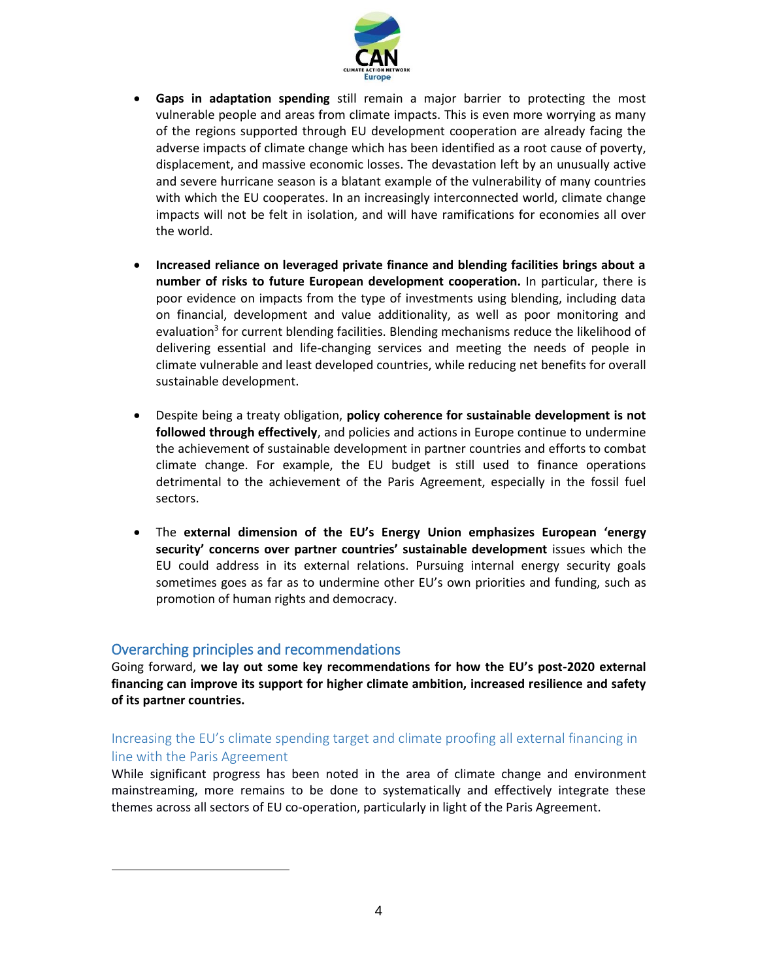

- **Gaps in adaptation spending** still remain a major barrier to protecting the most vulnerable people and areas from climate impacts. This is even more worrying as many of the regions supported through EU development cooperation are already facing the adverse impacts of climate change which has been identified as a root cause of poverty, displacement, and massive economic losses. The devastation left by an unusually active and severe hurricane season is a blatant example of the vulnerability of many countries with which the EU cooperates. In an increasingly interconnected world, climate change impacts will not be felt in isolation, and will have ramifications for economies all over the world.
- **Increased reliance on leveraged private finance and blending facilities brings about a number of risks to future European development cooperation.** In particular, there is poor evidence on impacts from the type of investments using blending, including data on financial, development and value additionality, as well as poor monitoring and evaluation<sup>3</sup> for current blending facilities. Blending mechanisms reduce the likelihood of delivering essential and life-changing services and meeting the needs of people in climate vulnerable and least developed countries, while reducing net benefits for overall sustainable development.
- Despite being a treaty obligation, **policy coherence for sustainable development is not followed through effectively**, and policies and actions in Europe continue to undermine the achievement of sustainable development in partner countries and efforts to combat climate change. For example, the EU budget is still used to finance operations detrimental to the achievement of the Paris Agreement, especially in the fossil fuel sectors.
- The **external dimension of the EU's Energy Union emphasizes European 'energy security' concerns over partner countries' sustainable development** issues which the EU could address in its external relations. Pursuing internal energy security goals sometimes goes as far as to undermine other EU's own priorities and funding, such as promotion of human rights and democracy.

### Overarching principles and recommendations

 $\overline{a}$ 

Going forward, **we lay out some key recommendations for how the EU's post-2020 external financing can improve its support for higher climate ambition, increased resilience and safety of its partner countries.**

### Increasing the EU's climate spending target and climate proofing all external financing in line with the Paris Agreement

While significant progress has been noted in the area of climate change and environment mainstreaming, more remains to be done to systematically and effectively integrate these themes across all sectors of EU co-operation, particularly in light of the Paris Agreement.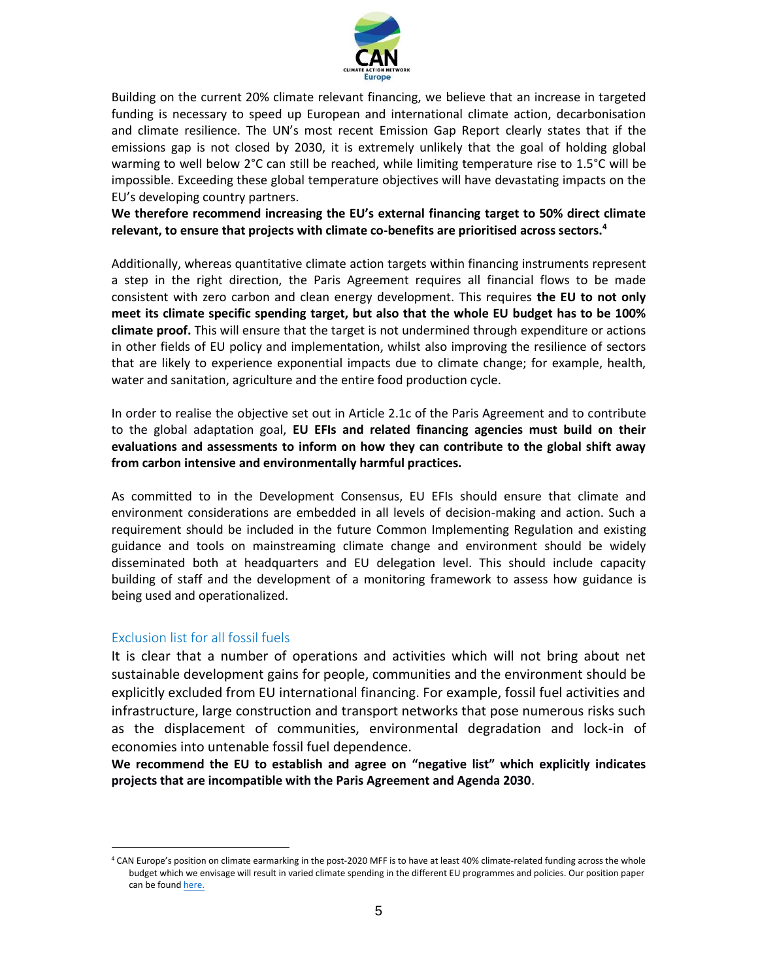

Building on the current 20% climate relevant financing, we believe that an increase in targeted funding is necessary to speed up European and international climate action, decarbonisation and climate resilience. The UN's most recent Emission Gap Report clearly states that if the emissions gap is not closed by 2030, it is extremely unlikely that the goal of holding global warming to well below 2°C can still be reached, while limiting temperature rise to 1.5°C will be impossible. Exceeding these global temperature objectives will have devastating impacts on the EU's developing country partners.

**We therefore recommend increasing the EU's external financing target to 50% direct climate relevant, to ensure that projects with climate co-benefits are prioritised across sectors.<sup>4</sup>**

Additionally, whereas quantitative climate action targets within financing instruments represent a step in the right direction, the Paris Agreement requires all financial flows to be made consistent with zero carbon and clean energy development. This requires **the EU to not only meet its climate specific spending target, but also that the whole EU budget has to be 100% climate proof.** This will ensure that the target is not undermined through expenditure or actions in other fields of EU policy and implementation, whilst also improving the resilience of sectors that are likely to experience exponential impacts due to climate change; for example, health, water and sanitation, agriculture and the entire food production cycle.

In order to realise the objective set out in Article 2.1c of the Paris Agreement and to contribute to the global adaptation goal, **EU EFIs and related financing agencies must build on their evaluations and assessments to inform on how they can contribute to the global shift away from carbon intensive and environmentally harmful practices.**

As committed to in the Development Consensus, EU EFIs should ensure that climate and environment considerations are embedded in all levels of decision-making and action. Such a requirement should be included in the future Common Implementing Regulation and existing guidance and tools on mainstreaming climate change and environment should be widely disseminated both at headquarters and EU delegation level. This should include capacity building of staff and the development of a monitoring framework to assess how guidance is being used and operationalized.

#### Exclusion list for all fossil fuels

 $\overline{a}$ 

It is clear that a number of operations and activities which will not bring about net sustainable development gains for people, communities and the environment should be explicitly excluded from EU international financing. For example, fossil fuel activities and infrastructure, large construction and transport networks that pose numerous risks such as the displacement of communities, environmental degradation and lock-in of economies into untenable fossil fuel dependence.

**We recommend the EU to establish and agree on "negative list" which explicitly indicates projects that are incompatible with the Paris Agreement and Agenda 2030**.

<sup>4</sup> CAN Europe's position on climate earmarking in the post-2020 MFF is to have at least 40% climate-related funding across the whole budget which we envisage will result in varied climate spending in the different EU programmes and policies. Our position paper can be foun[d here.](http://www.caneurope.org/docman/fossil-fuel-subsidies-1/3184-can-europe-position-on-the-eu-budget-post-2020-september-2017/file)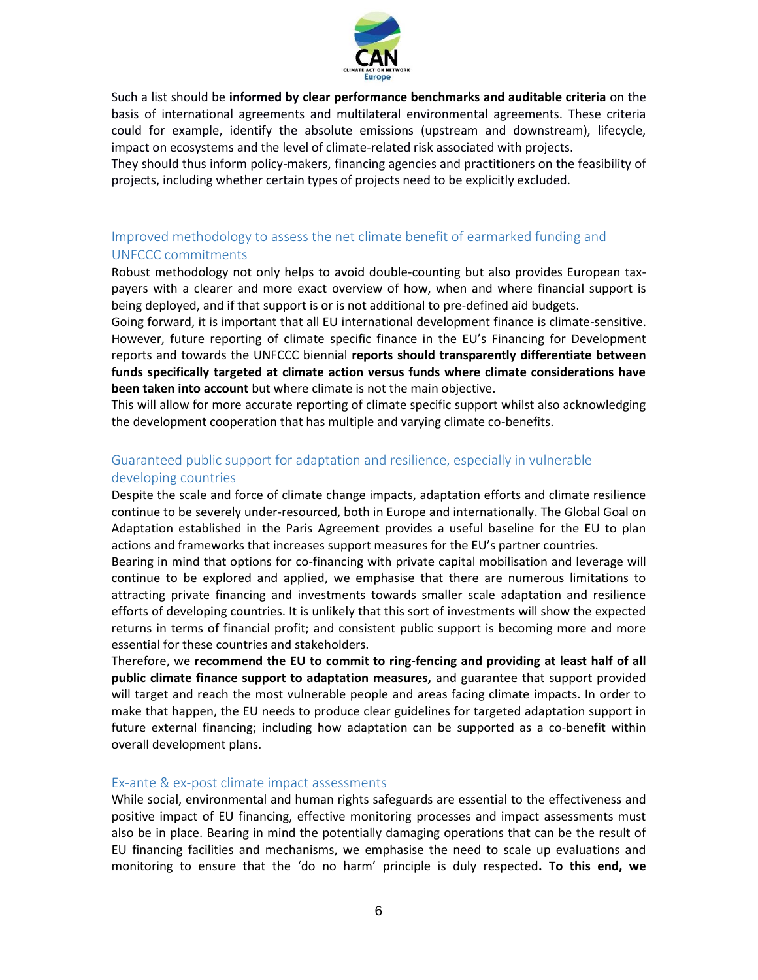

Such a list should be **informed by clear performance benchmarks and auditable criteria** on the basis of international agreements and multilateral environmental agreements. These criteria could for example, identify the absolute emissions (upstream and downstream), lifecycle, impact on ecosystems and the level of climate-related risk associated with projects.

They should thus inform policy-makers, financing agencies and practitioners on the feasibility of projects, including whether certain types of projects need to be explicitly excluded.

### Improved methodology to assess the net climate benefit of earmarked funding and UNFCCC commitments

Robust methodology not only helps to avoid double-counting but also provides European taxpayers with a clearer and more exact overview of how, when and where financial support is being deployed, and if that support is or is not additional to pre-defined aid budgets.

Going forward, it is important that all EU international development finance is climate-sensitive. However, future reporting of climate specific finance in the EU's Financing for Development reports and towards the UNFCCC biennial **reports should transparently differentiate between funds specifically targeted at climate action versus funds where climate considerations have been taken into account** but where climate is not the main objective.

This will allow for more accurate reporting of climate specific support whilst also acknowledging the development cooperation that has multiple and varying climate co-benefits.

### Guaranteed public support for adaptation and resilience, especially in vulnerable developing countries

Despite the scale and force of climate change impacts, adaptation efforts and climate resilience continue to be severely under-resourced, both in Europe and internationally. The Global Goal on Adaptation established in the Paris Agreement provides a useful baseline for the EU to plan actions and frameworks that increases support measures for the EU's partner countries.

Bearing in mind that options for co-financing with private capital mobilisation and leverage will continue to be explored and applied, we emphasise that there are numerous limitations to attracting private financing and investments towards smaller scale adaptation and resilience efforts of developing countries. It is unlikely that this sort of investments will show the expected returns in terms of financial profit; and consistent public support is becoming more and more essential for these countries and stakeholders.

Therefore, we **recommend the EU to commit to ring-fencing and providing at least half of all public climate finance support to adaptation measures,** and guarantee that support provided will target and reach the most vulnerable people and areas facing climate impacts. In order to make that happen, the EU needs to produce clear guidelines for targeted adaptation support in future external financing; including how adaptation can be supported as a co-benefit within overall development plans.

#### Ex-ante & ex-post climate impact assessments

While social, environmental and human rights safeguards are essential to the effectiveness and positive impact of EU financing, effective monitoring processes and impact assessments must also be in place. Bearing in mind the potentially damaging operations that can be the result of EU financing facilities and mechanisms, we emphasise the need to scale up evaluations and monitoring to ensure that the 'do no harm' principle is duly respected**. To this end, we**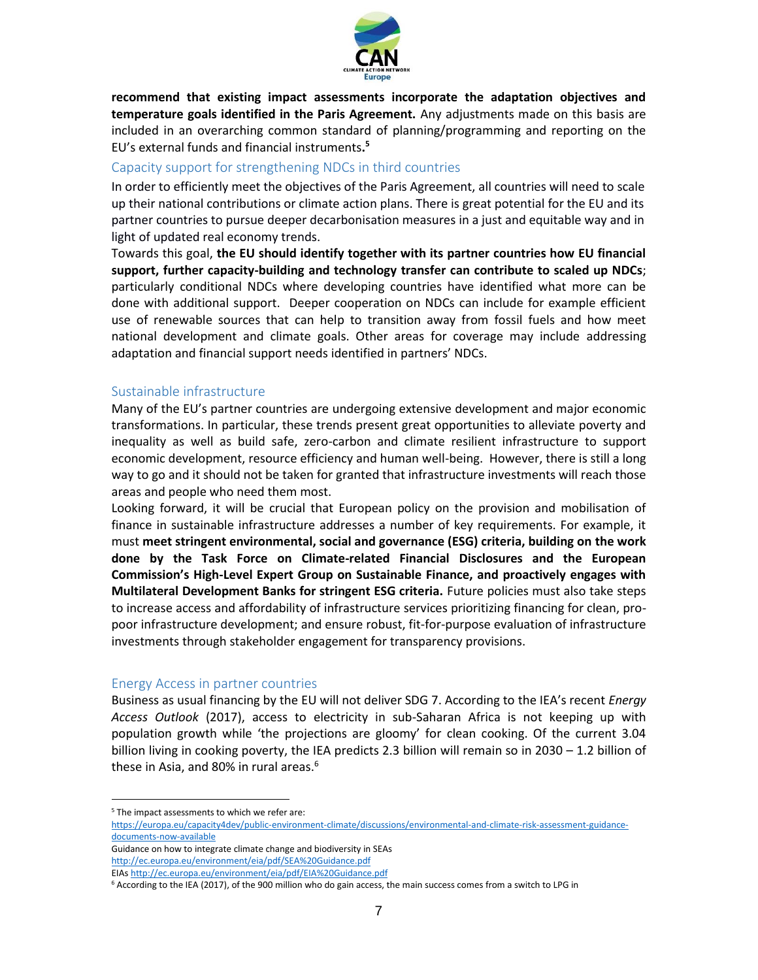

**recommend that existing impact assessments incorporate the adaptation objectives and temperature goals identified in the Paris Agreement.** Any adjustments made on this basis are included in an overarching common standard of planning/programming and reporting on the EU's external funds and financial instruments**. 5**

### Capacity support for strengthening NDCs in third countries

In order to efficiently meet the objectives of the Paris Agreement, all countries will need to scale up their national contributions or climate action plans. There is great potential for the EU and its partner countries to pursue deeper decarbonisation measures in a just and equitable way and in light of updated real economy trends.

Towards this goal, **the EU should identify together with its partner countries how EU financial support, further capacity-building and technology transfer can contribute to scaled up NDCs**; particularly conditional NDCs where developing countries have identified what more can be done with additional support. Deeper cooperation on NDCs can include for example efficient use of renewable sources that can help to transition away from fossil fuels and how meet national development and climate goals. Other areas for coverage may include addressing adaptation and financial support needs identified in partners' NDCs.

#### Sustainable infrastructure

Many of the EU's partner countries are undergoing extensive development and major economic transformations. In particular, these trends present great opportunities to alleviate poverty and inequality as well as build safe, zero-carbon and climate resilient infrastructure to support economic development, resource efficiency and human well-being. However, there is still a long way to go and it should not be taken for granted that infrastructure investments will reach those areas and people who need them most.

Looking forward, it will be crucial that European policy on the provision and mobilisation of finance in sustainable infrastructure addresses a number of key requirements. For example, it must **meet stringent environmental, social and governance (ESG) criteria, building on the work done by the Task Force on Climate-related Financial Disclosures and the European Commission's High-Level Expert Group on Sustainable Finance, and proactively engages with Multilateral Development Banks for stringent ESG criteria.** Future policies must also take steps to increase access and affordability of infrastructure services prioritizing financing for clean, propoor infrastructure development; and ensure robust, fit-for-purpose evaluation of infrastructure investments through stakeholder engagement for transparency provisions.

#### Energy Access in partner countries

Business as usual financing by the EU will not deliver SDG 7. According to the IEA's recent *Energy Access Outlook* (2017), access to electricity in sub-Saharan Africa is not keeping up with population growth while 'the projections are gloomy' for clean cooking. Of the current 3.04 billion living in cooking poverty, the IEA predicts 2.3 billion will remain so in 2030 – 1.2 billion of these in Asia, and 80% in rural areas.<sup>6</sup>

[documents-now-available](https://europa.eu/capacity4dev/public-environment-climate/discussions/environmental-and-climate-risk-assessment-guidance-documents-now-available)

 $\overline{a}$ 

Guidance on how to integrate climate change and biodiversity in SEAs <http://ec.europa.eu/environment/eia/pdf/SEA%20Guidance.pdf>

EIA[s http://ec.europa.eu/environment/eia/pdf/EIA%20Guidance.pdf](http://ec.europa.eu/environment/eia/pdf/EIA%20Guidance.pdf)

<sup>&</sup>lt;sup>5</sup> The impact assessments to which we refer are: [https://europa.eu/capacity4dev/public-environment-climate/discussions/environmental-and-climate-risk-assessment-guidance-](https://europa.eu/capacity4dev/public-environment-climate/discussions/environmental-and-climate-risk-assessment-guidance-documents-now-available)

<sup>6</sup> According to the IEA (2017), of the 900 million who do gain access, the main success comes from a switch to LPG in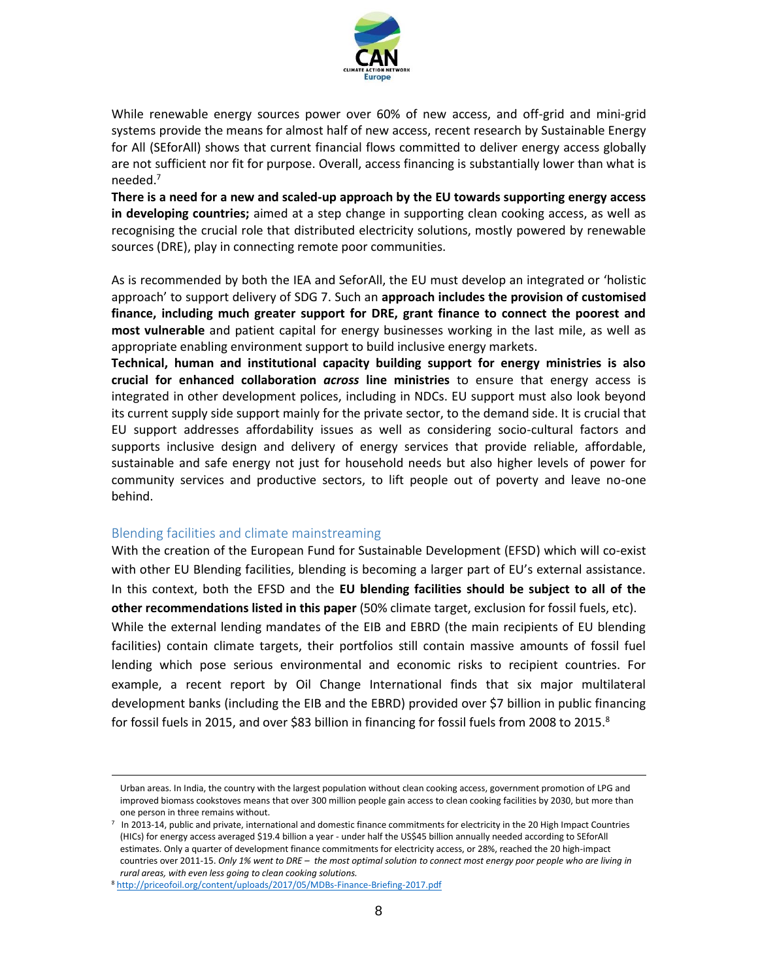

While renewable energy sources power over 60% of new access, and off-grid and mini-grid systems provide the means for almost half of new access, recent research by Sustainable Energy for All (SEforAll) shows that current financial flows committed to deliver energy access globally are not sufficient nor fit for purpose. Overall, access financing is substantially lower than what is needed. 7

**There is a need for a new and scaled-up approach by the EU towards supporting energy access in developing countries;** aimed at a step change in supporting clean cooking access, as well as recognising the crucial role that distributed electricity solutions, mostly powered by renewable sources (DRE), play in connecting remote poor communities.

As is recommended by both the IEA and SeforAll, the EU must develop an integrated or 'holistic approach' to support delivery of SDG 7. Such an **approach includes the provision of customised finance, including much greater support for DRE, grant finance to connect the poorest and most vulnerable** and patient capital for energy businesses working in the last mile, as well as appropriate enabling environment support to build inclusive energy markets.

**Technical, human and institutional capacity building support for energy ministries is also crucial for enhanced collaboration** *across* **line ministries** to ensure that energy access is integrated in other development polices, including in NDCs. EU support must also look beyond its current supply side support mainly for the private sector, to the demand side. It is crucial that EU support addresses affordability issues as well as considering socio-cultural factors and supports inclusive design and delivery of energy services that provide reliable, affordable, sustainable and safe energy not just for household needs but also higher levels of power for community services and productive sectors, to lift people out of poverty and leave no-one behind.

#### Blending facilities and climate mainstreaming

 $\overline{a}$ 

With the creation of the European Fund for Sustainable Development (EFSD) which will co-exist with other EU Blending facilities, blending is becoming a larger part of EU's external assistance. In this context, both the EFSD and the **EU blending facilities should be subject to all of the other recommendations listed in this paper** (50% climate target, exclusion for fossil fuels, etc). While the external lending mandates of the EIB and EBRD (the main recipients of EU blending facilities) contain climate targets, their portfolios still contain massive amounts of fossil fuel lending which pose serious environmental and economic risks to recipient countries. For example, a recent report by Oil Change International finds that six major multilateral development banks (including the EIB and the EBRD) provided over \$7 billion in public financing for fossil fuels in 2015, and over \$83 billion in financing for fossil fuels from 2008 to 2015.<sup>8</sup>

Urban areas. In India, the country with the largest population without clean cooking access, government promotion of LPG and improved biomass cookstoves means that over 300 million people gain access to clean cooking facilities by 2030, but more than one person in three remains without.

<sup>7</sup> In 2013-14, public and private, international and domestic finance commitments for electricity in the 20 High Impact Countries (HICs) for energy access averaged \$19.4 billion a year - under half the US\$45 billion annually needed according to SEforAll estimates. Only a quarter of development finance commitments for electricity access, or 28%, reached the 20 high-impact countries over 2011-15. *Only 1% went to DRE – the most optimal solution to connect most energy poor people who are living in rural areas, with even less going to clean cooking solutions.*

<sup>8</sup> <http://priceofoil.org/content/uploads/2017/05/MDBs-Finance-Briefing-2017.pdf>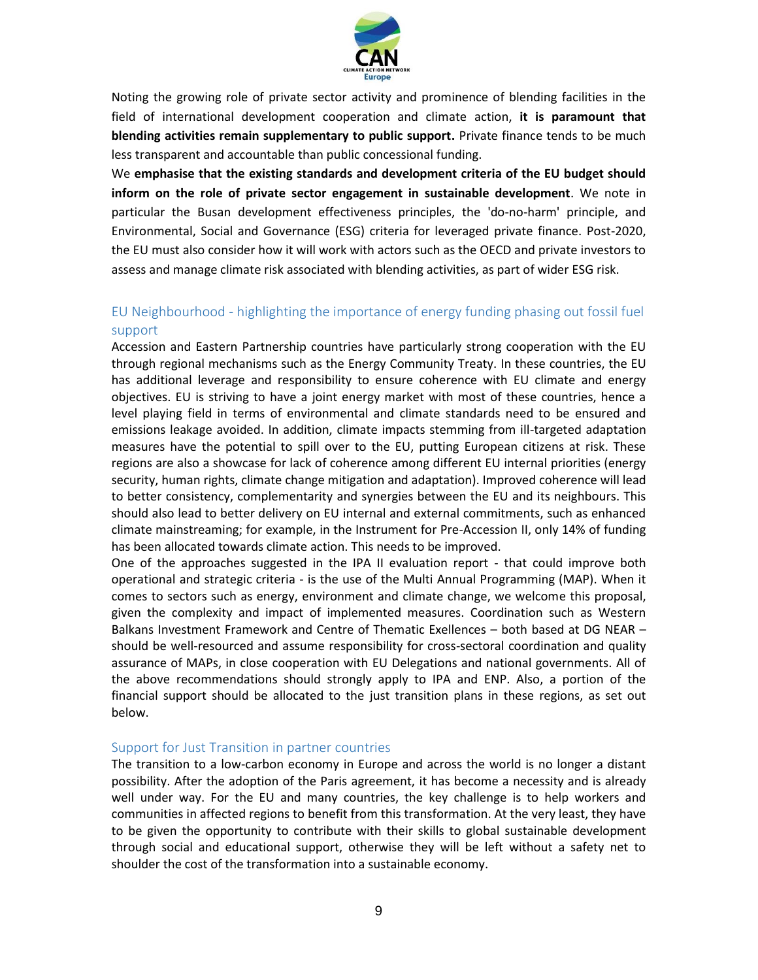

Noting the growing role of private sector activity and prominence of blending facilities in the field of international development cooperation and climate action, **it is paramount that blending activities remain supplementary to public support.** Private finance tends to be much less transparent and accountable than public concessional funding.

We **emphasise that the existing standards and development criteria of the EU budget should inform on the role of private sector engagement in sustainable development**. We note in particular the Busan development effectiveness principles, the 'do-no-harm' principle, and Environmental, Social and Governance (ESG) criteria for leveraged private finance. Post-2020, the EU must also consider how it will work with actors such as the OECD and private investors to assess and manage climate risk associated with blending activities, as part of wider ESG risk.

### EU Neighbourhood - highlighting the importance of energy funding phasing out fossil fuel support

Accession and Eastern Partnership countries have particularly strong cooperation with the EU through regional mechanisms such as the Energy Community Treaty. In these countries, the EU has additional leverage and responsibility to ensure coherence with EU climate and energy objectives. EU is striving to have a joint energy market with most of these countries, hence a level playing field in terms of environmental and climate standards need to be ensured and emissions leakage avoided. In addition, climate impacts stemming from ill-targeted adaptation measures have the potential to spill over to the EU, putting European citizens at risk. These regions are also a showcase for lack of coherence among different EU internal priorities (energy security, human rights, climate change mitigation and adaptation). Improved coherence will lead to better consistency, complementarity and synergies between the EU and its neighbours. This should also lead to better delivery on EU internal and external commitments, such as enhanced climate mainstreaming; for example, in the Instrument for Pre-Accession II, only 14% of funding has been allocated towards climate action. This needs to be improved.

One of the approaches suggested in the IPA II evaluation report - that could improve both operational and strategic criteria - is the use of the Multi Annual Programming (MAP). When it comes to sectors such as energy, environment and climate change, we welcome this proposal, given the complexity and impact of implemented measures. Coordination such as Western Balkans Investment Framework and Centre of Thematic Exellences – both based at DG NEAR – should be well-resourced and assume responsibility for cross-sectoral coordination and quality assurance of MAPs, in close cooperation with EU Delegations and national governments. All of the above recommendations should strongly apply to IPA and ENP. Also, a portion of the financial support should be allocated to the just transition plans in these regions, as set out below.

#### Support for Just Transition in partner countries

The transition to a low-carbon economy in Europe and across the world is no longer a distant possibility. After the adoption of the Paris agreement, it has become a necessity and is already well under way. For the EU and many countries, the key challenge is to help workers and communities in affected regions to benefit from this transformation. At the very least, they have to be given the opportunity to contribute with their skills to global sustainable development through social and educational support, otherwise they will be left without a safety net to shoulder the cost of the transformation into a sustainable economy.